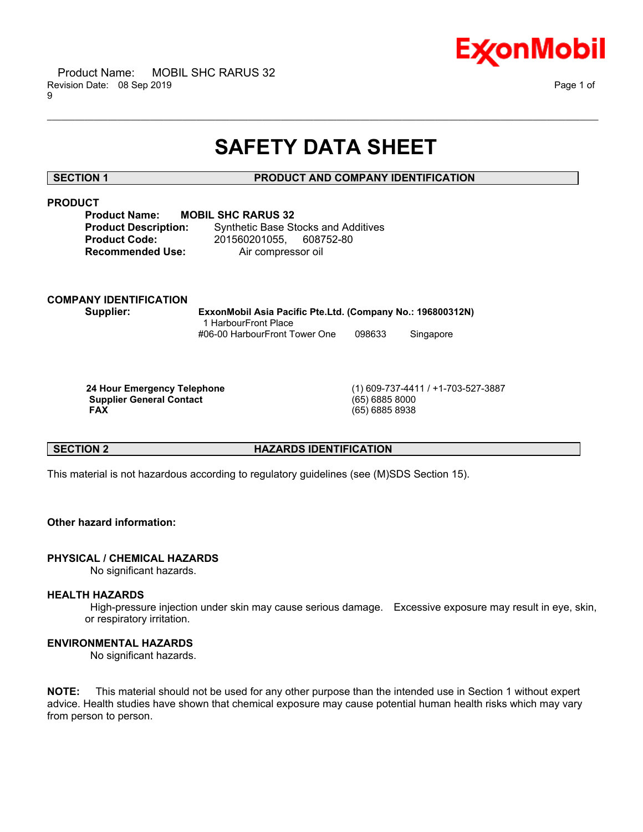

# **SAFETY DATA SHEET**

\_\_\_\_\_\_\_\_\_\_\_\_\_\_\_\_\_\_\_\_\_\_\_\_\_\_\_\_\_\_\_\_\_\_\_\_\_\_\_\_\_\_\_\_\_\_\_\_\_\_\_\_\_\_\_\_\_\_\_\_\_\_\_\_\_\_\_\_\_\_\_\_\_\_\_\_\_\_\_\_\_\_\_\_\_\_\_\_\_\_\_\_\_\_\_\_\_\_\_\_\_\_\_\_\_\_\_\_\_\_\_\_\_\_\_\_\_\_

### **SECTION 1 PRODUCT AND COMPANY IDENTIFICATION**

### **PRODUCT**

**Product Name: MOBIL SHC RARUS 32**

**Product Description:** Synthetic Base Stocks and Additives **Product Code:** 201560201055, 608752-80 **Recommended Use:** Air compressor oil

# **COMPANY IDENTIFICATION**

**Supplier: ExxonMobil Asia Pacific Pte.Ltd. (Company No.: 196800312N)** 1 HarbourFront Place #06-00 HarbourFront Tower One 098633 Singapore

 **Supplier General Contact** (65) 6885 8000  **FAX** (65) 6885 8938

 **24 Hour Emergency Telephone** (1) 609-737-4411 / +1-703-527-3887

### **SECTION 2 HAZARDS IDENTIFICATION**

This material is not hazardous according to regulatory guidelines (see (M)SDS Section 15).

### **Other hazard information:**

#### **PHYSICAL / CHEMICAL HAZARDS**

No significant hazards.

#### **HEALTH HAZARDS**

 High-pressure injection under skin may cause serious damage. Excessive exposure may result in eye, skin, or respiratory irritation.

#### **ENVIRONMENTAL HAZARDS**

No significant hazards.

**NOTE:** This material should not be used for any other purpose than the intended use in Section 1 without expert advice. Health studies have shown that chemical exposure may cause potential human health risks which may vary from person to person.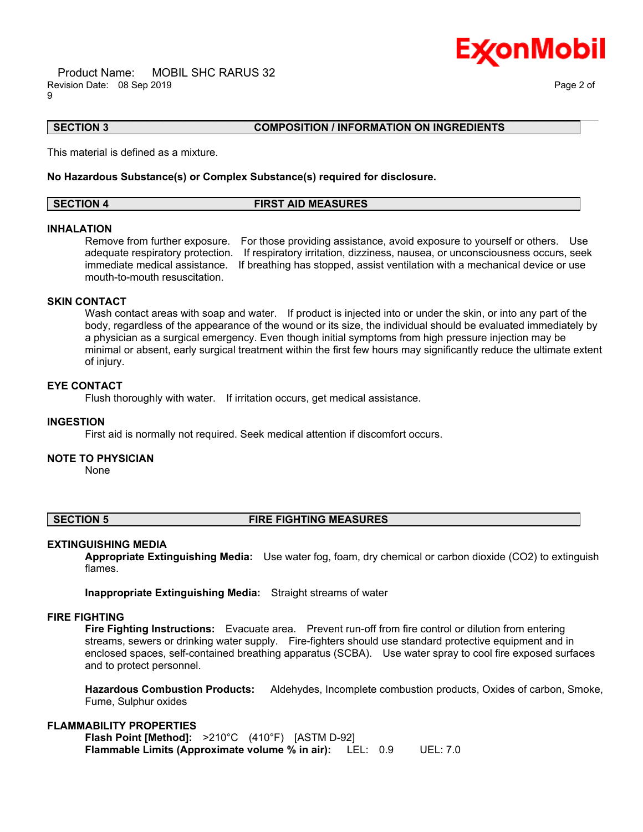Product Name: MOBIL SHC RARUS 32 Revision Date: 08 Sep 2019 Page 2 of 9



### **SECTION 3 COMPOSITION / INFORMATION ON INGREDIENTS**

This material is defined as a mixture.

#### **No Hazardous Substance(s) or Complex Substance(s) required for disclosure.**

| <b>SECTION 4</b> | <b>FIRST AID MEASURES</b> |  |
|------------------|---------------------------|--|

\_\_\_\_\_\_\_\_\_\_\_\_\_\_\_\_\_\_\_\_\_\_\_\_\_\_\_\_\_\_\_\_\_\_\_\_\_\_\_\_\_\_\_\_\_\_\_\_\_\_\_\_\_\_\_\_\_\_\_\_\_\_\_\_\_\_\_\_\_\_\_\_\_\_\_\_\_\_\_\_\_\_\_\_\_\_\_\_\_\_\_\_\_\_\_\_\_\_\_\_\_\_\_\_\_\_\_\_\_\_\_\_\_\_\_\_\_\_

#### **INHALATION**

Remove from further exposure. For those providing assistance, avoid exposure to yourself or others. Use adequate respiratory protection. If respiratory irritation, dizziness, nausea, or unconsciousness occurs, seek immediate medical assistance. If breathing has stopped, assist ventilation with a mechanical device or use mouth-to-mouth resuscitation.

### **SKIN CONTACT**

Wash contact areas with soap and water. If product is injected into or under the skin, or into any part of the body, regardless of the appearance of the wound or its size, the individual should be evaluated immediately by a physician as a surgical emergency. Even though initial symptoms from high pressure injection may be minimal or absent, early surgical treatment within the first few hours may significantly reduce the ultimate extent of injury.

#### **EYE CONTACT**

Flush thoroughly with water. If irritation occurs, get medical assistance.

#### **INGESTION**

First aid is normally not required. Seek medical attention if discomfort occurs.

#### **NOTE TO PHYSICIAN**

None

### **SECTION 5 FIRE FIGHTING MEASURES**

#### **EXTINGUISHING MEDIA**

**Appropriate Extinguishing Media:** Use water fog, foam, dry chemical or carbon dioxide (CO2) to extinguish flames.

**Inappropriate Extinguishing Media:** Straight streams of water

#### **FIRE FIGHTING**

**Fire Fighting Instructions:** Evacuate area. Prevent run-off from fire control or dilution from entering streams, sewers or drinking water supply. Fire-fighters should use standard protective equipment and in enclosed spaces, self-contained breathing apparatus (SCBA). Use water spray to cool fire exposed surfaces and to protect personnel.

**Hazardous Combustion Products:** Aldehydes, Incomplete combustion products, Oxides of carbon, Smoke, Fume, Sulphur oxides

#### **FLAMMABILITY PROPERTIES**

**Flash Point [Method]:** >210°C (410°F) [ASTM D-92] **Flammable Limits (Approximate volume % in air):** LEL: 0.9 UEL: 7.0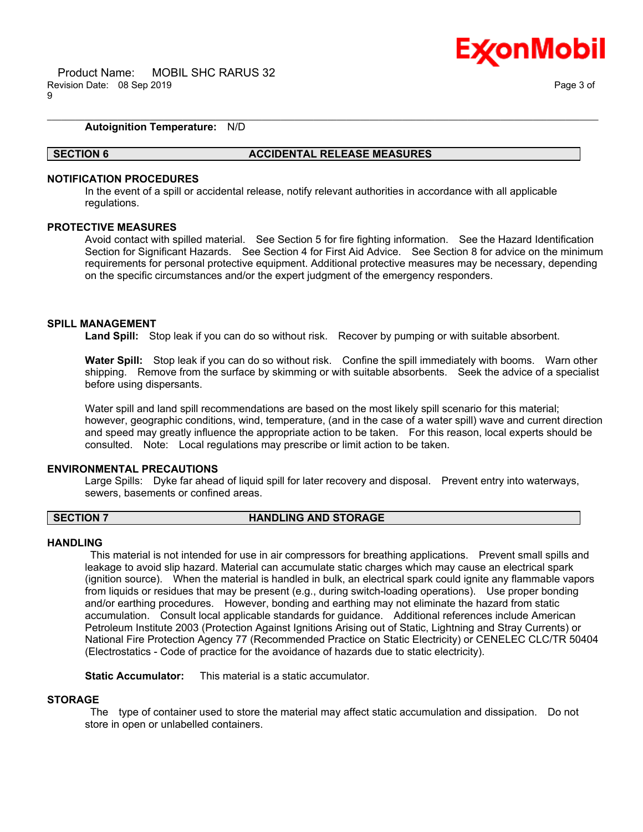

#### **Autoignition Temperature:** N/D

#### **SECTION 6 ACCIDENTAL RELEASE MEASURES**

### **NOTIFICATION PROCEDURES**

In the event of a spill or accidental release, notify relevant authorities in accordance with all applicable regulations.

\_\_\_\_\_\_\_\_\_\_\_\_\_\_\_\_\_\_\_\_\_\_\_\_\_\_\_\_\_\_\_\_\_\_\_\_\_\_\_\_\_\_\_\_\_\_\_\_\_\_\_\_\_\_\_\_\_\_\_\_\_\_\_\_\_\_\_\_\_\_\_\_\_\_\_\_\_\_\_\_\_\_\_\_\_\_\_\_\_\_\_\_\_\_\_\_\_\_\_\_\_\_\_\_\_\_\_\_\_\_\_\_\_\_\_\_\_\_

#### **PROTECTIVE MEASURES**

Avoid contact with spilled material. See Section 5 for fire fighting information. See the Hazard Identification Section for Significant Hazards. See Section 4 for First Aid Advice. See Section 8 for advice on the minimum requirements for personal protective equipment. Additional protective measures may be necessary, depending on the specific circumstances and/or the expert judgment of the emergency responders.

#### **SPILL MANAGEMENT**

**Land Spill:** Stop leak if you can do so without risk. Recover by pumping or with suitable absorbent.

**Water Spill:** Stop leak if you can do so without risk. Confine the spill immediately with booms. Warn other shipping. Remove from the surface by skimming or with suitable absorbents. Seek the advice of a specialist before using dispersants.

Water spill and land spill recommendations are based on the most likely spill scenario for this material; however, geographic conditions, wind, temperature, (and in the case of a water spill) wave and current direction and speed may greatly influence the appropriate action to be taken. For this reason, local experts should be consulted. Note: Local regulations may prescribe or limit action to be taken.

#### **ENVIRONMENTAL PRECAUTIONS**

Large Spills: Dyke far ahead of liquid spill for later recovery and disposal. Prevent entry into waterways, sewers, basements or confined areas.

#### **SECTION 7 HANDLING AND STORAGE**

#### **HANDLING**

 This material is not intended for use in air compressors for breathing applications. Prevent small spills and leakage to avoid slip hazard. Material can accumulate static charges which may cause an electrical spark (ignition source). When the material is handled in bulk, an electrical spark could ignite any flammable vapors from liquids or residues that may be present (e.g., during switch-loading operations). Use proper bonding and/or earthing procedures. However, bonding and earthing may not eliminate the hazard from static accumulation. Consult local applicable standards for guidance. Additional references include American Petroleum Institute 2003 (Protection Against Ignitions Arising out of Static, Lightning and Stray Currents) or National Fire Protection Agency 77 (Recommended Practice on Static Electricity) or CENELEC CLC/TR 50404 (Electrostatics - Code of practice for the avoidance of hazards due to static electricity).

**Static Accumulator:** This material is a static accumulator.

#### **STORAGE**

 The type of container used to store the material may affect static accumulation and dissipation. Do not store in open or unlabelled containers.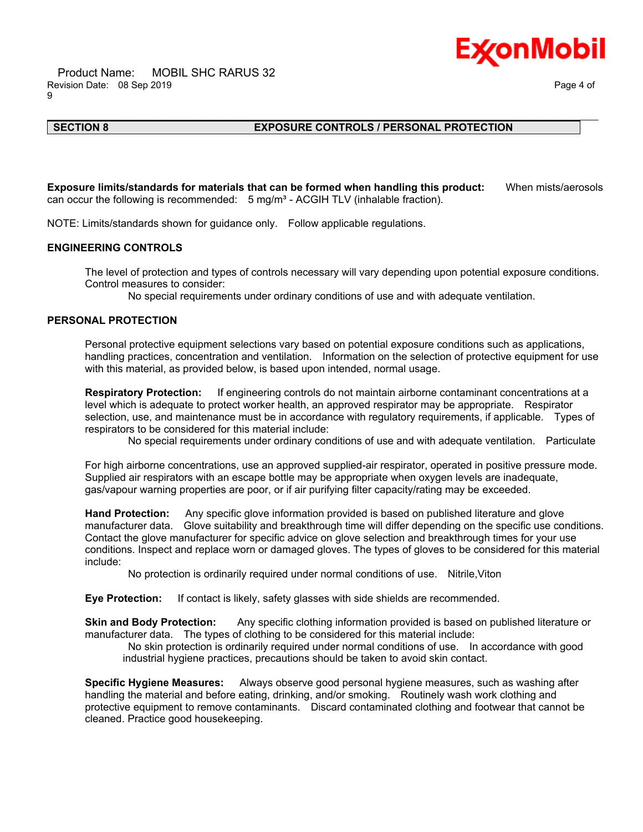

## \_\_\_\_\_\_\_\_\_\_\_\_\_\_\_\_\_\_\_\_\_\_\_\_\_\_\_\_\_\_\_\_\_\_\_\_\_\_\_\_\_\_\_\_\_\_\_\_\_\_\_\_\_\_\_\_\_\_\_\_\_\_\_\_\_\_\_\_\_\_\_\_\_\_\_\_\_\_\_\_\_\_\_\_\_\_\_\_\_\_\_\_\_\_\_\_\_\_\_\_\_\_\_\_\_\_\_\_\_\_\_\_\_\_\_\_\_\_

### **SECTION 8 EXPOSURE CONTROLS / PERSONAL PROTECTION**

**Exposure limits/standards for materials that can be formed when handling this product:** When mists/aerosols can occur the following is recommended:  $5$  mg/m<sup>3</sup> - ACGIH TLV (inhalable fraction).

NOTE: Limits/standards shown for guidance only. Follow applicable regulations.

#### **ENGINEERING CONTROLS**

The level of protection and types of controls necessary will vary depending upon potential exposure conditions. Control measures to consider:

No special requirements under ordinary conditions of use and with adequate ventilation.

#### **PERSONAL PROTECTION**

Personal protective equipment selections vary based on potential exposure conditions such as applications, handling practices, concentration and ventilation. Information on the selection of protective equipment for use with this material, as provided below, is based upon intended, normal usage.

**Respiratory Protection:** If engineering controls do not maintain airborne contaminant concentrations at a level which is adequate to protect worker health, an approved respirator may be appropriate. Respirator selection, use, and maintenance must be in accordance with regulatory requirements, if applicable. Types of respirators to be considered for this material include:

No special requirements under ordinary conditions of use and with adequate ventilation. Particulate

For high airborne concentrations, use an approved supplied-air respirator, operated in positive pressure mode. Supplied air respirators with an escape bottle may be appropriate when oxygen levels are inadequate, gas/vapour warning properties are poor, or if air purifying filter capacity/rating may be exceeded.

**Hand Protection:** Any specific glove information provided is based on published literature and glove manufacturer data. Glove suitability and breakthrough time will differ depending on the specific use conditions. Contact the glove manufacturer for specific advice on glove selection and breakthrough times for your use conditions. Inspect and replace worn or damaged gloves. The types of gloves to be considered for this material include:

No protection is ordinarily required under normal conditions of use. Nitrile,Viton

**Eye Protection:** If contact is likely, safety glasses with side shields are recommended.

**Skin and Body Protection:** Any specific clothing information provided is based on published literature or manufacturer data. The types of clothing to be considered for this material include:

 No skin protection is ordinarily required under normal conditions of use. In accordance with good industrial hygiene practices, precautions should be taken to avoid skin contact.

**Specific Hygiene Measures:** Always observe good personal hygiene measures, such as washing after handling the material and before eating, drinking, and/or smoking. Routinely wash work clothing and protective equipment to remove contaminants. Discard contaminated clothing and footwear that cannot be cleaned. Practice good housekeeping.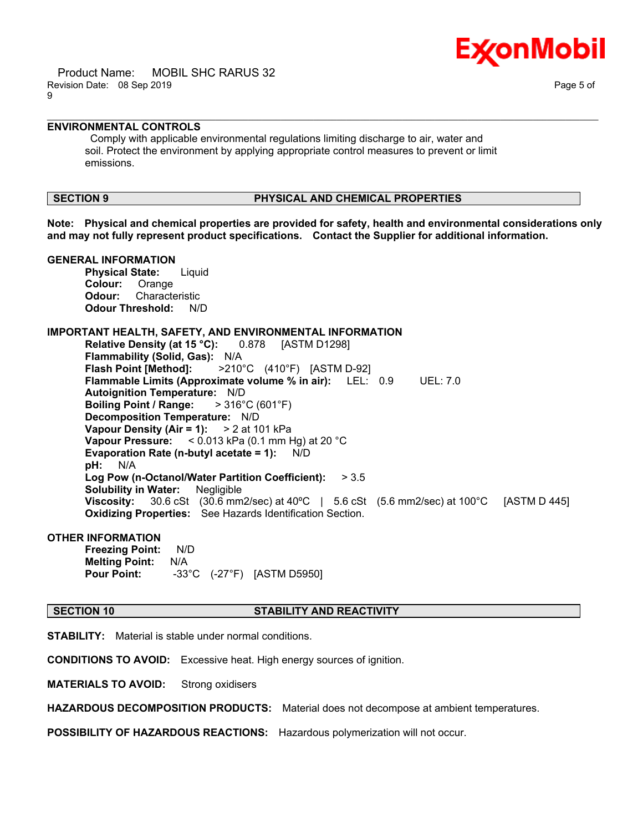

 Product Name: MOBIL SHC RARUS 32 Revision Date: 08 Sep 2019 Page 5 of 9

### **ENVIRONMENTAL CONTROLS**

 Comply with applicable environmental regulations limiting discharge to air, water and soil. Protect the environment by applying appropriate control measures to prevent or limit emissions.

#### **SECTION 9 PHYSICAL AND CHEMICAL PROPERTIES**

**Note: Physical and chemical properties are provided for safety, health and environmental considerations only and may not fully represent product specifications. Contact the Supplier for additional information.**

\_\_\_\_\_\_\_\_\_\_\_\_\_\_\_\_\_\_\_\_\_\_\_\_\_\_\_\_\_\_\_\_\_\_\_\_\_\_\_\_\_\_\_\_\_\_\_\_\_\_\_\_\_\_\_\_\_\_\_\_\_\_\_\_\_\_\_\_\_\_\_\_\_\_\_\_\_\_\_\_\_\_\_\_\_\_\_\_\_\_\_\_\_\_\_\_\_\_\_\_\_\_\_\_\_\_\_\_\_\_\_\_\_\_\_\_\_\_

#### **GENERAL INFORMATION**

**Physical State:** Liquid **Colour:** Orange **Odour:** Characteristic **Odour Threshold:** N/D

#### **IMPORTANT HEALTH, SAFETY, AND ENVIRONMENTAL INFORMATION**

**Relative Density (at 15 °C):** 0.878 [ASTM D1298] **Flammability (Solid, Gas):** N/A **Flash Point [Method]:** >210°C (410°F) [ASTM D-92] **Flammable Limits (Approximate volume % in air):** LEL: 0.9 UEL: 7.0 **Autoignition Temperature:** N/D **Boiling Point / Range:** > 316°C (601°F) **Decomposition Temperature:** N/D **Vapour Density (Air = 1):** > 2 at 101 kPa **Vapour Pressure:** < 0.013 kPa (0.1 mm Hg) at 20 °C **Evaporation Rate (n-butyl acetate = 1):** N/D **pH:** N/A **Log Pow (n-Octanol/Water Partition Coefficient):** > 3.5 **Solubility in Water:** Negligible **Viscosity:** 30.6 cSt (30.6 mm2/sec) at 40ºC | 5.6 cSt (5.6 mm2/sec) at 100°C [ASTM D 445] **Oxidizing Properties:** See Hazards Identification Section.

#### **OTHER INFORMATION**

**Freezing Point:** N/D **Melting Point:** N/A **Pour Point:** -33°C (-27°F) [ASTM D5950]

#### **SECTION 10 STABILITY AND REACTIVITY**

**STABILITY:** Material is stable under normal conditions.

**CONDITIONS TO AVOID:** Excessive heat. High energy sources of ignition.

**MATERIALS TO AVOID:** Strong oxidisers

**HAZARDOUS DECOMPOSITION PRODUCTS:** Material does not decompose at ambient temperatures.

**POSSIBILITY OF HAZARDOUS REACTIONS:** Hazardous polymerization will not occur.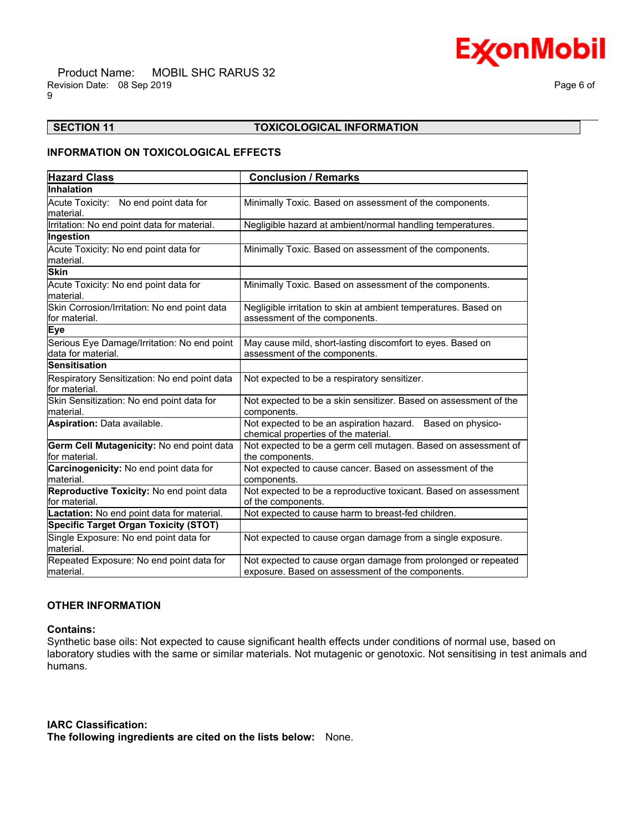# **Ex⁄onMobil**

 Product Name: MOBIL SHC RARUS 32 Revision Date: 08 Sep 2019 **Page 6 of**  $\overline{P}$ 9

### **SECTION 11 TOXICOLOGICAL INFORMATION**

\_\_\_\_\_\_\_\_\_\_\_\_\_\_\_\_\_\_\_\_\_\_\_\_\_\_\_\_\_\_\_\_\_\_\_\_\_\_\_\_\_\_\_\_\_\_\_\_\_\_\_\_\_\_\_\_\_\_\_\_\_\_\_\_\_\_\_\_\_\_\_\_\_\_\_\_\_\_\_\_\_\_\_\_\_\_\_\_\_\_\_\_\_\_\_\_\_\_\_\_\_\_\_\_\_\_\_\_\_\_\_\_\_\_\_\_\_\_

### **INFORMATION ON TOXICOLOGICAL EFFECTS**

| <b>Hazard Class</b>                                               | <b>Conclusion / Remarks</b>                                                                                       |
|-------------------------------------------------------------------|-------------------------------------------------------------------------------------------------------------------|
| Inhalation                                                        |                                                                                                                   |
| Acute Toxicity: No end point data for<br>material.                | Minimally Toxic. Based on assessment of the components.                                                           |
| Irritation: No end point data for material.                       | Negligible hazard at ambient/normal handling temperatures.                                                        |
| Ingestion                                                         |                                                                                                                   |
| Acute Toxicity: No end point data for<br>material.                | Minimally Toxic. Based on assessment of the components.                                                           |
| <b>Skin</b>                                                       |                                                                                                                   |
| Acute Toxicity: No end point data for<br>material.                | Minimally Toxic. Based on assessment of the components.                                                           |
| Skin Corrosion/Irritation: No end point data<br>lfor material.    | Negligible irritation to skin at ambient temperatures. Based on<br>assessment of the components.                  |
| <b>Eye</b>                                                        |                                                                                                                   |
| Serious Eye Damage/Irritation: No end point<br>data for material. | May cause mild, short-lasting discomfort to eyes. Based on<br>assessment of the components.                       |
| <b>Sensitisation</b>                                              |                                                                                                                   |
| Respiratory Sensitization: No end point data<br>for material.     | Not expected to be a respiratory sensitizer.                                                                      |
| Skin Sensitization: No end point data for<br>lmaterial.           | Not expected to be a skin sensitizer. Based on assessment of the<br>components.                                   |
| Aspiration: Data available.                                       | Not expected to be an aspiration hazard. Based on physico-<br>chemical properties of the material.                |
| Germ Cell Mutagenicity: No end point data<br>for material.        | Not expected to be a germ cell mutagen. Based on assessment of<br>the components.                                 |
| Carcinogenicity: No end point data for<br>lmaterial.              | Not expected to cause cancer. Based on assessment of the<br>components.                                           |
| Reproductive Toxicity: No end point data<br>for material.         | Not expected to be a reproductive toxicant. Based on assessment<br>of the components.                             |
| Lactation: No end point data for material.                        | Not expected to cause harm to breast-fed children.                                                                |
| <b>Specific Target Organ Toxicity (STOT)</b>                      |                                                                                                                   |
| Single Exposure: No end point data for<br>lmaterial.              | Not expected to cause organ damage from a single exposure.                                                        |
| Repeated Exposure: No end point data for<br>material.             | Not expected to cause organ damage from prolonged or repeated<br>exposure. Based on assessment of the components. |

#### **OTHER INFORMATION**

#### **Contains:**

Synthetic base oils: Not expected to cause significant health effects under conditions of normal use, based on laboratory studies with the same or similar materials. Not mutagenic or genotoxic. Not sensitising in test animals and humans.

**IARC Classification: The following ingredients are cited on the lists below:** None.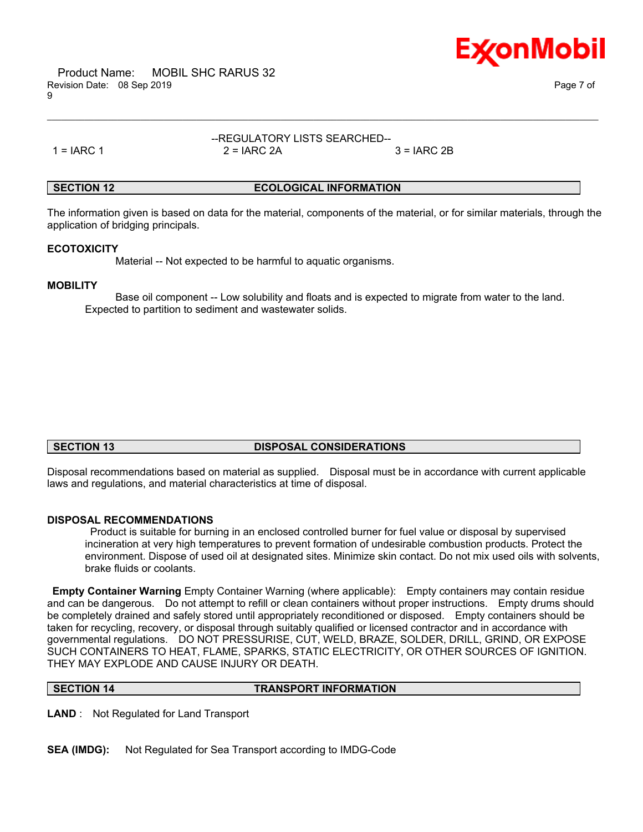

 Product Name: MOBIL SHC RARUS 32 Revision Date: 08 Sep 2019 Page 7 of Page 7 of Page 7 of Page 7 of Page 7 of Page 7 of Page 7 of Page 7 of Page 7 of 9

--REGULATORY LISTS SEARCHED--  $1 = IARC 1$   $2 = IARC 2A$   $3 = IARC 2B$ 

\_\_\_\_\_\_\_\_\_\_\_\_\_\_\_\_\_\_\_\_\_\_\_\_\_\_\_\_\_\_\_\_\_\_\_\_\_\_\_\_\_\_\_\_\_\_\_\_\_\_\_\_\_\_\_\_\_\_\_\_\_\_\_\_\_\_\_\_\_\_\_\_\_\_\_\_\_\_\_\_\_\_\_\_\_\_\_\_\_\_\_\_\_\_\_\_\_\_\_\_\_\_\_\_\_\_\_\_\_\_\_\_\_\_\_\_\_\_

#### **SECTION 12 ECOLOGICAL INFORMATION**

The information given is based on data for the material, components of the material, or for similar materials, through the application of bridging principals.

#### **ECOTOXICITY**

Material -- Not expected to be harmful to aquatic organisms.

#### **MOBILITY**

 Base oil component -- Low solubility and floats and is expected to migrate from water to the land. Expected to partition to sediment and wastewater solids.

#### **SECTION 13 DISPOSAL CONSIDERATIONS**

Disposal recommendations based on material as supplied. Disposal must be in accordance with current applicable laws and regulations, and material characteristics at time of disposal.

#### **DISPOSAL RECOMMENDATIONS**

 Product is suitable for burning in an enclosed controlled burner for fuel value or disposal by supervised incineration at very high temperatures to prevent formation of undesirable combustion products. Protect the environment. Dispose of used oil at designated sites. Minimize skin contact. Do not mix used oils with solvents, brake fluids or coolants.

**Empty Container Warning** Empty Container Warning (where applicable): Empty containers may contain residue and can be dangerous. Do not attempt to refill or clean containers without proper instructions. Empty drums should be completely drained and safely stored until appropriately reconditioned or disposed. Empty containers should be taken for recycling, recovery, or disposal through suitably qualified or licensed contractor and in accordance with governmental regulations. DO NOT PRESSURISE, CUT, WELD, BRAZE, SOLDER, DRILL, GRIND, OR EXPOSE SUCH CONTAINERS TO HEAT, FLAME, SPARKS, STATIC ELECTRICITY, OR OTHER SOURCES OF IGNITION. THEY MAY EXPLODE AND CAUSE INJURY OR DEATH.

### **SECTION 14 TRANSPORT INFORMATION**

**LAND** : Not Regulated for Land Transport

**SEA (IMDG):** Not Regulated for Sea Transport according to IMDG-Code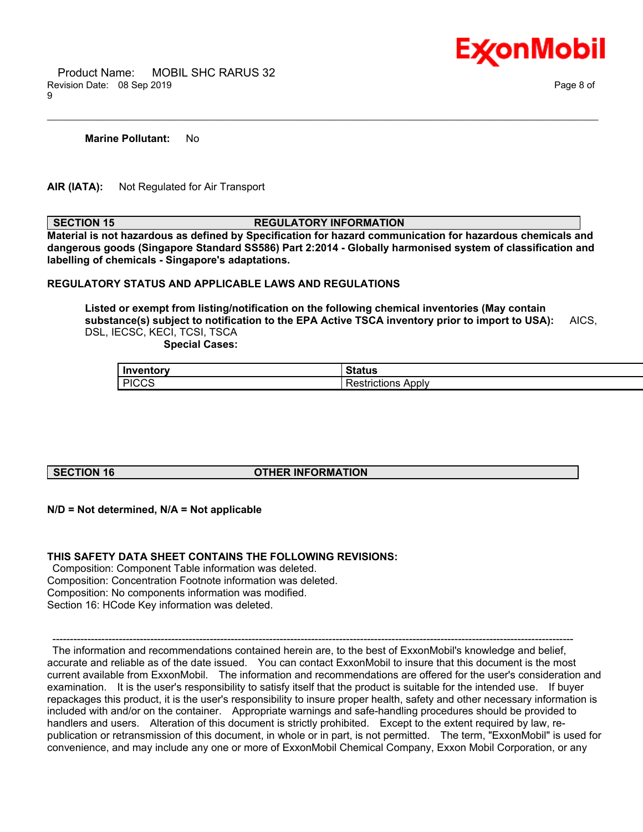

 Product Name: MOBIL SHC RARUS 32 Revision Date: 08 Sep 2019 Page 8 of 9

**Marine Pollutant:** No

**AIR (IATA):** Not Regulated for Air Transport

**SECTION 15 REGULATORY INFORMATION** 

\_\_\_\_\_\_\_\_\_\_\_\_\_\_\_\_\_\_\_\_\_\_\_\_\_\_\_\_\_\_\_\_\_\_\_\_\_\_\_\_\_\_\_\_\_\_\_\_\_\_\_\_\_\_\_\_\_\_\_\_\_\_\_\_\_\_\_\_\_\_\_\_\_\_\_\_\_\_\_\_\_\_\_\_\_\_\_\_\_\_\_\_\_\_\_\_\_\_\_\_\_\_\_\_\_\_\_\_\_\_\_\_\_\_\_\_\_\_

**Material is not hazardous as defined by Specification for hazard communication for hazardous chemicals and dangerous goods (Singapore Standard SS586) Part 2:2014 - Globally harmonised system of classification and labelling of chemicals - Singapore's adaptations.**

### **REGULATORY STATUS AND APPLICABLE LAWS AND REGULATIONS**

**Listed or exempt from listing/notification on the following chemical inventories (May contain substance(s) subject to notification to the EPA Active TSCA inventory prior to import to USA):** AICS, DSL, IECSC, KECI, TCSI, TSCA

 **Special Cases:**

| $l$ nvantoni   | $\sim$ $\sim$ $\sim$       |
|----------------|----------------------------|
| <b>'entory</b> | ιαιus                      |
| <b>PICCS</b>   | Apply<br>.<br>≺estrictions |

#### **SECTION 16 OTHER INFORMATION**

#### **N/D = Not determined, N/A = Not applicable**

#### **THIS SAFETY DATA SHEET CONTAINS THE FOLLOWING REVISIONS:**

 Composition: Component Table information was deleted. Composition: Concentration Footnote information was deleted. Composition: No components information was modified. Section 16: HCode Key information was deleted.

 ----------------------------------------------------------------------------------------------------------------------------------------------------- The information and recommendations contained herein are, to the best of ExxonMobil's knowledge and belief, accurate and reliable as of the date issued. You can contact ExxonMobil to insure that this document is the most current available from ExxonMobil. The information and recommendations are offered for the user's consideration and examination. It is the user's responsibility to satisfy itself that the product is suitable for the intended use. If buyer repackages this product, it is the user's responsibility to insure proper health, safety and other necessary information is included with and/or on the container. Appropriate warnings and safe-handling procedures should be provided to handlers and users. Alteration of this document is strictly prohibited. Except to the extent required by law, republication or retransmission of this document, in whole or in part, is not permitted. The term, "ExxonMobil" is used for convenience, and may include any one or more of ExxonMobil Chemical Company, Exxon Mobil Corporation, or any